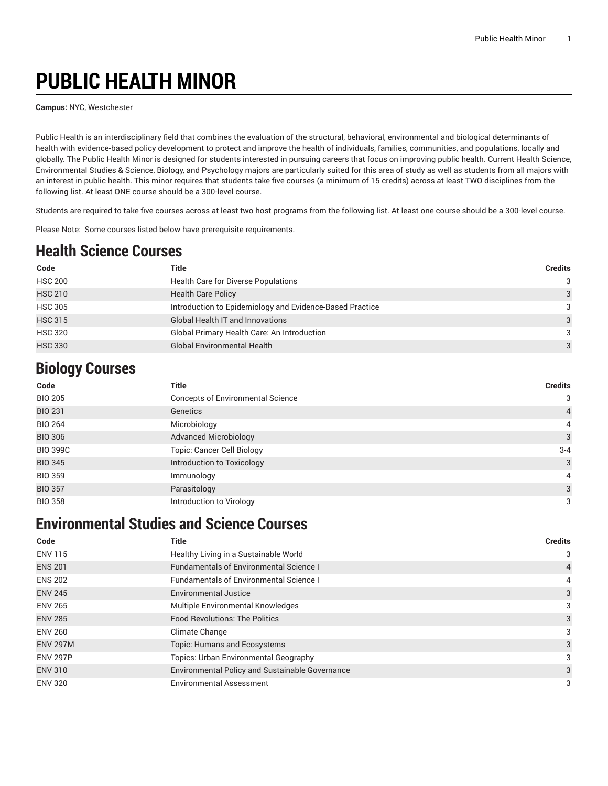# **PUBLIC HEALTH MINOR**

**Campus:** NYC, Westchester

Public Health is an interdisciplinary field that combines the evaluation of the structural, behavioral, environmental and biological determinants of health with evidence-based policy development to protect and improve the health of individuals, families, communities, and populations, locally and globally. The Public Health Minor is designed for students interested in pursuing careers that focus on improving public health. Current Health Science, Environmental Studies & Science, Biology, and Psychology majors are particularly suited for this area of study as well as students from all majors with an interest in public health. This minor requires that students take five courses (a minimum of 15 credits) across at least TWO disciplines from the following list. At least ONE course should be a 300-level course.

Students are required to take five courses across at least two host programs from the following list. At least one course should be a 300-level course.

Please Note: Some courses listed below have prerequisite requirements.

#### **Health Science Courses**

| Code           | Title                                                    | <b>Credits</b> |
|----------------|----------------------------------------------------------|----------------|
| <b>HSC 200</b> | Health Care for Diverse Populations                      | 3              |
| <b>HSC 210</b> | <b>Health Care Policy</b>                                | 3              |
| <b>HSC 305</b> | Introduction to Epidemiology and Evidence-Based Practice | 3              |
| <b>HSC 315</b> | <b>Global Health IT and Innovations</b>                  | 3              |
| <b>HSC 320</b> | Global Primary Health Care: An Introduction              | 3              |
| <b>HSC 330</b> | <b>Global Environmental Health</b>                       | 3              |

#### **Biology Courses**

| Code            | <b>Title</b>                             | <b>Credits</b> |
|-----------------|------------------------------------------|----------------|
| <b>BIO 205</b>  | <b>Concepts of Environmental Science</b> | 3              |
| <b>BIO 231</b>  | Genetics                                 | $\overline{4}$ |
| <b>BIO 264</b>  | Microbiology                             | $\overline{4}$ |
| <b>BIO 306</b>  | <b>Advanced Microbiology</b>             | 3              |
| <b>BIO 399C</b> | <b>Topic: Cancer Cell Biology</b>        | $3 - 4$        |
| <b>BIO 345</b>  | Introduction to Toxicology               | 3              |
| <b>BIO 359</b>  | Immunology                               | 4              |
| <b>BIO 357</b>  | Parasitology                             | 3              |
| <b>BIO 358</b>  | Introduction to Virology                 | 3              |

### **Environmental Studies and Science Courses**

| Code            | <b>Title</b>                                    | <b>Credits</b> |
|-----------------|-------------------------------------------------|----------------|
| <b>ENV 115</b>  | Healthy Living in a Sustainable World           | 3              |
| <b>ENS 201</b>  | <b>Fundamentals of Environmental Science I</b>  | $\overline{4}$ |
| <b>ENS 202</b>  | <b>Fundamentals of Environmental Science I</b>  | 4              |
| <b>ENV 245</b>  | <b>Environmental Justice</b>                    | 3              |
| <b>ENV 265</b>  | Multiple Environmental Knowledges               | 3              |
| <b>ENV 285</b>  | <b>Food Revolutions: The Politics</b>           | 3              |
| <b>ENV 260</b>  | Climate Change                                  | 3              |
| <b>ENV 297M</b> | Topic: Humans and Ecosystems                    | 3              |
| <b>ENV 297P</b> | <b>Topics: Urban Environmental Geography</b>    | 3              |
| <b>ENV 310</b>  | Environmental Policy and Sustainable Governance | 3              |
| <b>ENV 320</b>  | <b>Environmental Assessment</b>                 | 3              |